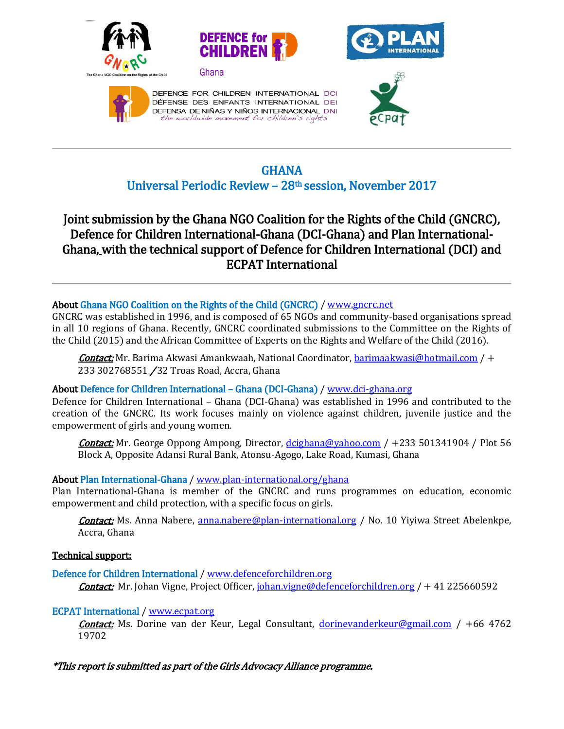









DEFENCE FOR CHILDREN INTERNATIONAL DCI DÉFENSE DES ENFANTS INTERNATIONAL DEI DEFENSA DE NIÑAS Y NIÑOS INTERNACIONAL DNI the worldwide movement for children's rights



 $\overline{a}$ 

## GHANA Universal Periodic Review – 28th session, November 2017

# Joint submission by the Ghana NGO Coalition for the Rights of the Child (GNCRC), Defence for Children International-Ghana (DCI-Ghana) and Plan International-Ghana, with the technical support of Defence for Children International (DCI) and ECPAT International

## About Ghana NGO Coalition on the Rights of the Child (GNCRC) [/ www.gncrc.net](http://www.gncrc.net/)

GNCRC was established in 1996, and is composed of 65 NGOs and community-based organisations spread in all 10 regions of Ghana. Recently, GNCRC coordinated submissions to the Committee on the Rights of the Child (2015) and the African Committee of Experts on the Rights and Welfare of the Child (2016).

Contact: Mr. Barima Akwasi Amankwaah, National Coordinator[, barimaakwasi@hotmail.com](mailto:barimaakwasi@hotmail.com) / + 233 302768551 / 32 Troas Road, Accra, Ghana

## About Defence for Children International – Ghana (DCI-Ghana) [/ www.dci-ghana.org](http://www.dci-ghana.org/)

Defence for Children International – Ghana (DCI-Ghana) was established in 1996 and contributed to the creation of the GNCRC. Its work focuses mainly on violence against children, juvenile justice and the empowerment of girls and young women.

Contact: Mr. George Oppong Ampong, Director, [dcighana@yahoo.com](mailto:dcighana@yahoo.com) / +233 501341904 / Plot 56 Block A, Opposite Adansi Rural Bank, Atonsu-Agogo, Lake Road, Kumasi, Ghana

## About Plan International-Ghana [/ www.plan-international.org/ghana](http://www.plan-international.org/ghana)

Plan International-Ghana is member of the GNCRC and runs programmes on education, economic empowerment and child protection, with a specific focus on girls.

**Contact:** Ms. Anna Nabere, [anna.nabere@plan-international.org](mailto:anna.nabere@plan-international.org) / No. 10 Yiyiwa Street Abelenkpe, Accra, Ghana

## Technical support:

Defence for Children International / [www.defenceforchildren.org](http://www.defenceforchildren.org/)  **Contact:** Mr. Johan Vigne, Project Officer, *johan.vigne@defenceforchildren.org* / + 41 225660592

## ECPAT International [/ www.ecpat.org](http://www.ecpat.org/)

Contact: Ms. Dorine van der Keur, Legal Consultant, [dorinevanderkeur@gmail.com](mailto:dorinevanderkeur@gmail.com) / +66 4762 19702

## \*This report is submitted as part of the Girls Advocacy Alliance programme.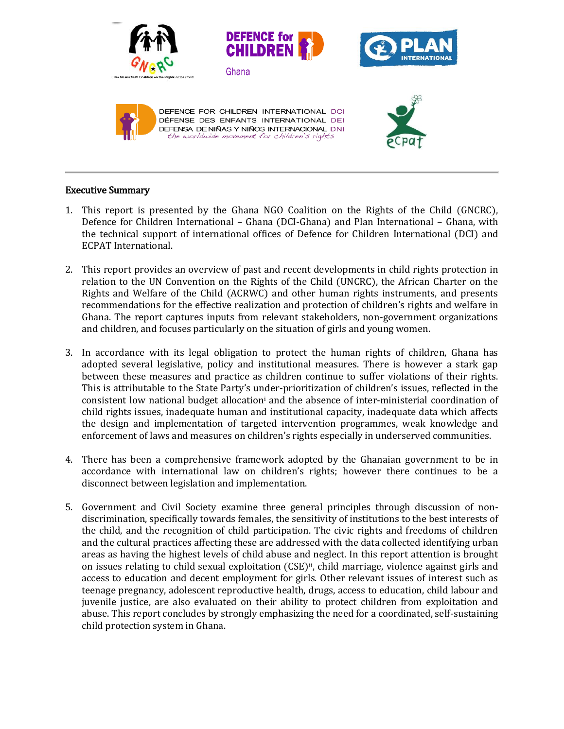

## Executive Summary

- 1. This report is presented by the Ghana NGO Coalition on the Rights of the Child (GNCRC), Defence for Children International – Ghana (DCI-Ghana) and Plan International – Ghana, with the technical support of international offices of Defence for Children International (DCI) and ECPAT International.
- 2. This report provides an overview of past and recent developments in child rights protection in relation to the UN Convention on the Rights of the Child (UNCRC), the African Charter on the Rights and Welfare of the Child (ACRWC) and other human rights instruments, and presents recommendations for the effective realization and protection of children's rights and welfare in Ghana. The report captures inputs from relevant stakeholders, non-government organizations and children, and focuses particularly on the situation of girls and young women.
- 3. In accordance with its legal obligation to protect the human rights of children, Ghana has adopted several legislative, policy and institutional measures. There is however a stark gap between these measures and practice as children continue to suffer violations of their rights. This is attributable to the State Party's under-prioritization of children's issues, reflected in the consistent low national budget allocation<sup>i</sup> and the absence of inter-ministerial coordination of child rights issues, inadequate human and institutional capacity, inadequate data which affects the design and implementation of targeted intervention programmes, weak knowledge and enforcement of laws and measures on children's rights especially in underserved communities.
- 4. There has been a comprehensive framework adopted by the Ghanaian government to be in accordance with international law on children's rights; however there continues to be a disconnect between legislation and implementation.
- 5. Government and Civil Society examine three general principles through discussion of nondiscrimination, specifically towards females, the sensitivity of institutions to the best interests of the child, and the recognition of child participation. The civic rights and freedoms of children and the cultural practices affecting these are addressed with the data collected identifying urban areas as having the highest levels of child abuse and neglect. In this report attention is brought on issues relating to child sexual exploitation (CSE)<sup>ii</sup>, child marriage, violence against girls and access to education and decent employment for girls. Other relevant issues of interest such as teenage pregnancy, adolescent reproductive health, drugs, access to education, child labour and juvenile justice, are also evaluated on their ability to protect children from exploitation and abuse. This report concludes by strongly emphasizing the need for a coordinated, self-sustaining child protection system in Ghana.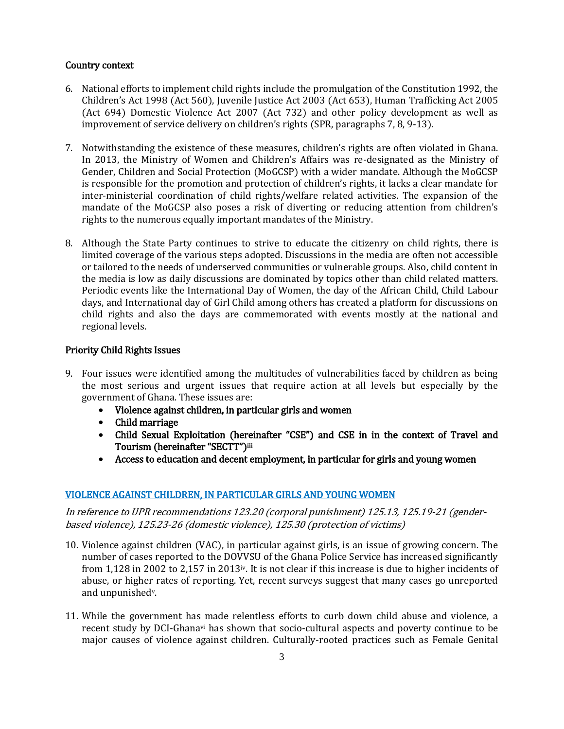#### Country context

- 6. National efforts to implement child rights include the promulgation of the Constitution 1992, the Children's Act 1998 (Act 560), Juvenile Justice Act 2003 (Act 653), Human Trafficking Act 2005 (Act 694) Domestic Violence Act 2007 (Act 732) and other policy development as well as improvement of service delivery on children's rights (SPR, paragraphs 7, 8, 9-13).
- 7. Notwithstanding the existence of these measures, children's rights are often violated in Ghana. In 2013, the Ministry of Women and Children's Affairs was re-designated as the Ministry of Gender, Children and Social Protection (MoGCSP) with a wider mandate. Although the MoGCSP is responsible for the promotion and protection of children's rights, it lacks a clear mandate for inter-ministerial coordination of child rights/welfare related activities. The expansion of the mandate of the MoGCSP also poses a risk of diverting or reducing attention from children's rights to the numerous equally important mandates of the Ministry.
- 8. Although the State Party continues to strive to educate the citizenry on child rights, there is limited coverage of the various steps adopted. Discussions in the media are often not accessible or tailored to the needs of underserved communities or vulnerable groups. Also, child content in the media is low as daily discussions are dominated by topics other than child related matters. Periodic events like the International Day of Women, the day of the African Child, Child Labour days, and International day of Girl Child among others has created a platform for discussions on child rights and also the days are commemorated with events mostly at the national and regional levels.

#### Priority Child Rights Issues

- 9. Four issues were identified among the multitudes of vulnerabilities faced by children as being the most serious and urgent issues that require action at all levels but especially by the government of Ghana. These issues are:
	- Violence against children, in particular girls and women
	- Child marriage
	- Child Sexual Exploitation (hereinafter "CSE") and CSE in in the context of Travel and Tourism (hereinafter "SECTT")iii
	- Access to education and decent employment, in particular for girls and young women

## VIOLENCE AGAINST CHILDREN, IN PARTICULAR GIRLS AND YOUNG WOMEN

In reference to UPR recommendations 123.20 (corporal punishment) 125.13, 125.19-21 (genderbased violence), 125.23-26 (domestic violence), 125.30 (protection of victims)

- 10. Violence against children (VAC), in particular against girls, is an issue of growing concern. The number of cases reported to the DOVVSU of the Ghana Police Service has increased significantly from 1,128 in 2002 to 2,157 in 2013iv. It is not clear if this increase is due to higher incidents of abuse, or higher rates of reporting. Yet, recent surveys suggest that many cases go unreported and unpunishedv.
- 11. While the government has made relentless efforts to curb down child abuse and violence, a recent study by DCI-Ghanavi has shown that socio-cultural aspects and poverty continue to be major causes of violence against children. Culturally-rooted practices such as Female Genital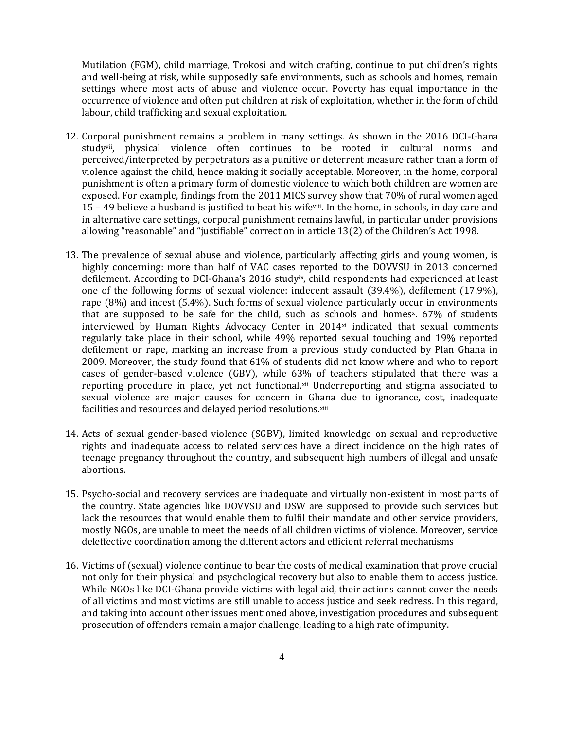Mutilation (FGM), child marriage, Trokosi and witch crafting, continue to put children's rights and well-being at risk, while supposedly safe environments, such as schools and homes, remain settings where most acts of abuse and violence occur. Poverty has equal importance in the occurrence of violence and often put children at risk of exploitation, whether in the form of child labour, child trafficking and sexual exploitation.

- 12. Corporal punishment remains a problem in many settings. As shown in the 2016 DCI-Ghana studyvii, physical violence often continues to be rooted in cultural norms and perceived/interpreted by perpetrators as a punitive or deterrent measure rather than a form of violence against the child, hence making it socially acceptable. Moreover, in the home, corporal punishment is often a primary form of domestic violence to which both children are women are exposed. For example, findings from the 2011 MICS survey show that 70% of rural women aged 15 – 49 believe a husband is justified to beat his wifeviii. In the home, in schools, in day care and in alternative care settings, corporal punishment remains lawful, in particular under provisions allowing "reasonable" and "justifiable" correction in article 13(2) of the Children's Act 1998.
- 13. The prevalence of sexual abuse and violence, particularly affecting girls and young women, is highly concerning: more than half of VAC cases reported to the DOVVSU in 2013 concerned defilement. According to DCI-Ghana's 2016 studyix, child respondents had experienced at least one of the following forms of sexual violence: indecent assault (39.4%), defilement (17.9%), rape (8%) and incest (5.4%). Such forms of sexual violence particularly occur in environments that are supposed to be safe for the child, such as schools and homes<sup>x</sup>.  $67%$  of students interviewed by Human Rights Advocacy Center in 2014<sup>xi</sup> indicated that sexual comments regularly take place in their school, while 49% reported sexual touching and 19% reported defilement or rape, marking an increase from a previous study conducted by Plan Ghana in 2009. Moreover, the study found that 61% of students did not know where and who to report cases of gender-based violence (GBV), while 63% of teachers stipulated that there was a reporting procedure in place, yet not functional.<sup>xii</sup> Underreporting and stigma associated to sexual violence are major causes for concern in Ghana due to ignorance, cost, inadequate facilities and resources and delayed period resolutions.xiii
- 14. Acts of sexual gender-based violence (SGBV), limited knowledge on sexual and reproductive rights and inadequate access to related services have a direct incidence on the high rates of teenage pregnancy throughout the country, and subsequent high numbers of illegal and unsafe abortions.
- 15. Psycho-social and recovery services are inadequate and virtually non-existent in most parts of the country. State agencies like DOVVSU and DSW are supposed to provide such services but lack the resources that would enable them to fulfil their mandate and other service providers, mostly NGOs, are unable to meet the needs of all children victims of violence. Moreover, service deleffective coordination among the different actors and efficient referral mechanisms
- 16. Victims of (sexual) violence continue to bear the costs of medical examination that prove crucial not only for their physical and psychological recovery but also to enable them to access justice. While NGOs like DCI-Ghana provide victims with legal aid, their actions cannot cover the needs of all victims and most victims are still unable to access justice and seek redress. In this regard, and taking into account other issues mentioned above, investigation procedures and subsequent prosecution of offenders remain a major challenge, leading to a high rate of impunity.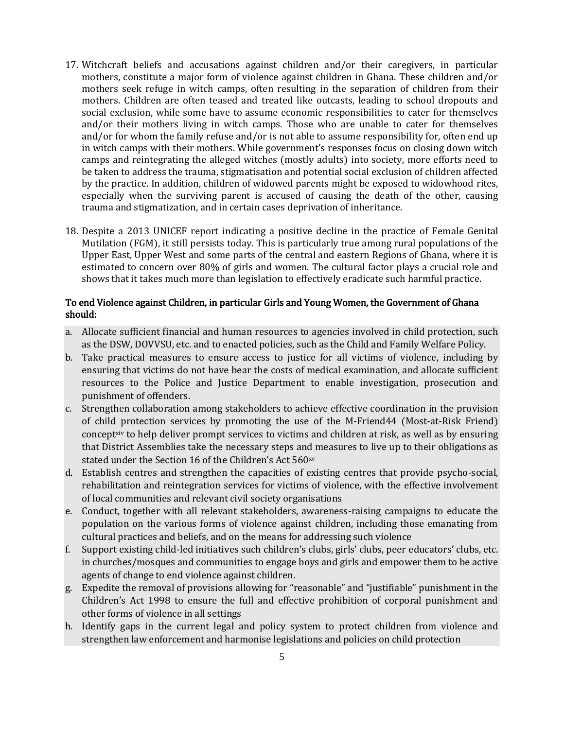- 17. Witchcraft beliefs and accusations against children and/or their caregivers, in particular mothers, constitute a major form of violence against children in Ghana. These children and/or mothers seek refuge in witch camps, often resulting in the separation of children from their mothers. Children are often teased and treated like outcasts, leading to school dropouts and social exclusion, while some have to assume economic responsibilities to cater for themselves and/or their mothers living in witch camps. Those who are unable to cater for themselves and/or for whom the family refuse and/or is not able to assume responsibility for, often end up in witch camps with their mothers. While government's responses focus on closing down witch camps and reintegrating the alleged witches (mostly adults) into society, more efforts need to be taken to address the trauma, stigmatisation and potential social exclusion of children affected by the practice. In addition, children of widowed parents might be exposed to widowhood rites, especially when the surviving parent is accused of causing the death of the other, causing trauma and stigmatization, and in certain cases deprivation of inheritance.
- 18. Despite a 2013 UNICEF report indicating a positive decline in the practice of Female Genital Mutilation (FGM), it still persists today. This is particularly true among rural populations of the Upper East, Upper West and some parts of the central and eastern Regions of Ghana, where it is estimated to concern over 80% of girls and women. The cultural factor plays a crucial role and shows that it takes much more than legislation to effectively eradicate such harmful practice.

#### To end Violence against Children, in particular Girls and Young Women, the Government of Ghana should:

- a. Allocate sufficient financial and human resources to agencies involved in child protection, such as the DSW, DOVVSU, etc. and to enacted policies, such as the Child and Family Welfare Policy.
- b. Take practical measures to ensure access to justice for all victims of violence, including by ensuring that victims do not have bear the costs of medical examination, and allocate sufficient resources to the Police and Justice Department to enable investigation, prosecution and punishment of offenders.
- c. Strengthen collaboration among stakeholders to achieve effective coordination in the provision of child protection services by promoting the use of the M-Friend44 (Most-at-Risk Friend) concept $\mathbf{x}^{\text{inv}}$  to help deliver prompt services to victims and children at risk, as well as by ensuring that District Assemblies take the necessary steps and measures to live up to their obligations as stated under the Section 16 of the Children's Act 560xv
- d. Establish centres and strengthen the capacities of existing centres that provide psycho-social, rehabilitation and reintegration services for victims of violence, with the effective involvement of local communities and relevant civil society organisations
- e. Conduct, together with all relevant stakeholders, awareness-raising campaigns to educate the population on the various forms of violence against children, including those emanating from cultural practices and beliefs, and on the means for addressing such violence
- f. Support existing child-led initiatives such children's clubs, girls' clubs, peer educators' clubs, etc. in churches/mosques and communities to engage boys and girls and empower them to be active agents of change to end violence against children.
- g. Expedite the removal of provisions allowing for "reasonable" and "justifiable" punishment in the Children's Act 1998 to ensure the full and effective prohibition of corporal punishment and other forms of violence in all settings
- h. Identify gaps in the current legal and policy system to protect children from violence and strengthen law enforcement and harmonise legislations and policies on child protection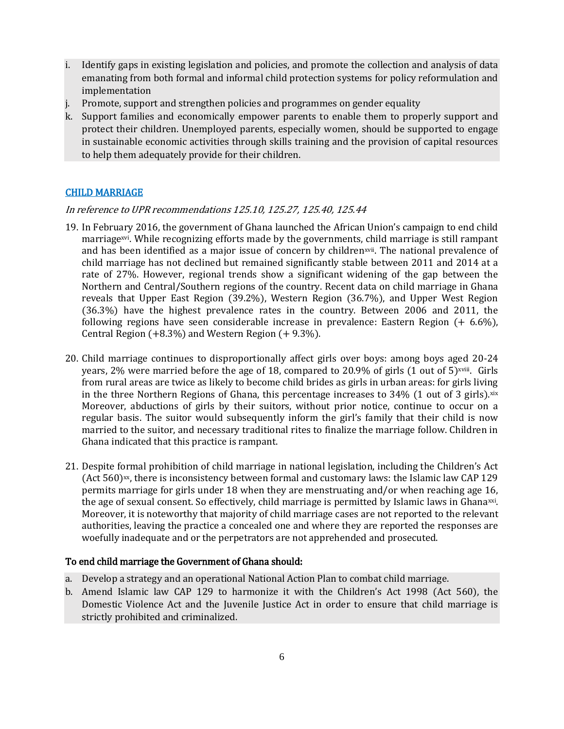- i. Identify gaps in existing legislation and policies, and promote the collection and analysis of data emanating from both formal and informal child protection systems for policy reformulation and implementation
- j. Promote, support and strengthen policies and programmes on gender equality
- k. Support families and economically empower parents to enable them to properly support and protect their children. Unemployed parents, especially women, should be supported to engage in sustainable economic activities through skills training and the provision of capital resources to help them adequately provide for their children.

## CHILD MARRIAGE

#### In reference to UPR recommendations 125.10, 125.27, 125.40, 125.44

- 19. In February 2016, the government of Ghana launched the African Union's campaign to end child marriagexvi. While recognizing efforts made by the governments, child marriage is still rampant and has been identified as a major issue of concern by childrenxvii. The national prevalence of child marriage has not declined but remained significantly stable between 2011 and 2014 at a rate of 27%. However, regional trends show a significant widening of the gap between the Northern and Central/Southern regions of the country. Recent data on child marriage in Ghana reveals that Upper East Region (39.2%), Western Region (36.7%), and Upper West Region (36.3%) have the highest prevalence rates in the country. Between 2006 and 2011, the following regions have seen considerable increase in prevalence: Eastern Region  $(+ 6.6\%)$ , Central Region (+8.3%) and Western Region (+ 9.3%).
- 20. Child marriage continues to disproportionally affect girls over boys: among boys aged 20-24 years, 2% were married before the age of 18, compared to 20.9% of girls (1 out of 5)<sup>xviii</sup>. Girls from rural areas are twice as likely to become child brides as girls in urban areas: for girls living in the three Northern Regions of Ghana, this percentage increases to  $34\%$  (1 out of 3 girls). $x$ ix Moreover, abductions of girls by their suitors, without prior notice, continue to occur on a regular basis. The suitor would subsequently inform the girl's family that their child is now married to the suitor, and necessary traditional rites to finalize the marriage follow. Children in Ghana indicated that this practice is rampant.
- 21. Despite formal prohibition of child marriage in national legislation, including the Children's Act (Act  $560)$ <sup>xx</sup>, there is inconsistency between formal and customary laws: the Islamic law CAP 129 permits marriage for girls under 18 when they are menstruating and/or when reaching age 16, the age of sexual consent. So effectively, child marriage is permitted by Islamic laws in Ghana<sup>xxi</sup>. Moreover, it is noteworthy that majority of child marriage cases are not reported to the relevant authorities, leaving the practice a concealed one and where they are reported the responses are woefully inadequate and or the perpetrators are not apprehended and prosecuted.

#### To end child marriage the Government of Ghana should:

- a. Develop a strategy and an operational National Action Plan to combat child marriage.
- b. Amend Islamic law CAP 129 to harmonize it with the Children's Act 1998 (Act 560), the Domestic Violence Act and the Juvenile Justice Act in order to ensure that child marriage is strictly prohibited and criminalized.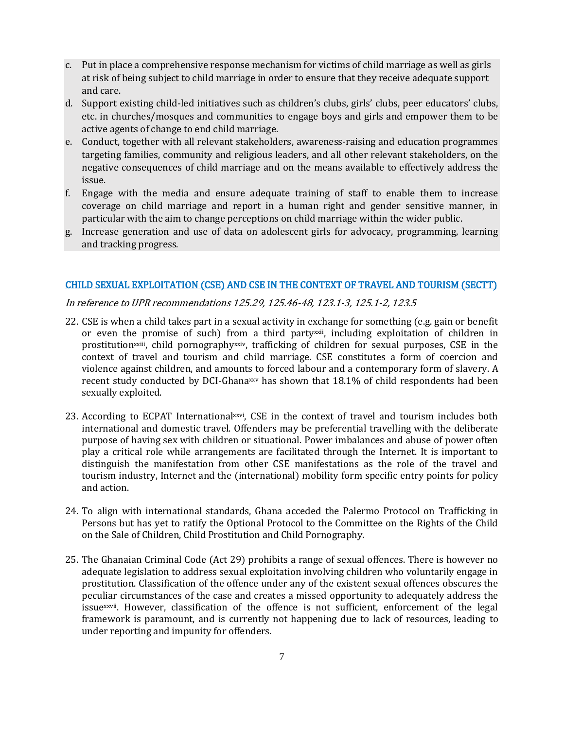- c. Put in place a comprehensive response mechanism for victims of child marriage as well as girls at risk of being subject to child marriage in order to ensure that they receive adequate support and care.
- d. Support existing child-led initiatives such as children's clubs, girls' clubs, peer educators' clubs, etc. in churches/mosques and communities to engage boys and girls and empower them to be active agents of change to end child marriage.
- e. Conduct, together with all relevant stakeholders, awareness-raising and education programmes targeting families, community and religious leaders, and all other relevant stakeholders, on the negative consequences of child marriage and on the means available to effectively address the issue.
- f. Engage with the media and ensure adequate training of staff to enable them to increase coverage on child marriage and report in a human right and gender sensitive manner, in particular with the aim to change perceptions on child marriage within the wider public.
- g. Increase generation and use of data on adolescent girls for advocacy, programming, learning and tracking progress.

#### CHILD SEXUAL EXPLOITATION (CSE) AND CSE IN THE CONTEXT OF TRAVEL AND TOURISM (SECTT)

In reference to UPR recommendations 125.29, 125.46-48, 123.1-3, 125.1-2, 123.5

- 22. CSE is when a child takes part in a sexual activity in exchange for something (e.g. gain or benefit or even the promise of such) from a third partyxxii, including exploitation of children in prostitution<sup>xxiii</sup>, child pornography<sup>xxiv</sup>, trafficking of children for sexual purposes, CSE in the context of travel and tourism and child marriage. CSE constitutes a form of coercion and violence against children, and amounts to forced labour and a contemporary form of slavery. A recent study conducted by DCI-Ghana<sup>xxv</sup> has shown that 18.1% of child respondents had been sexually exploited.
- 23. According to ECPAT Internationalxxvi, CSE in the context of travel and tourism includes both international and domestic travel. Offenders may be preferential travelling with the deliberate purpose of having sex with children or situational. Power imbalances and abuse of power often play a critical role while arrangements are facilitated through the Internet. It is important to distinguish the manifestation from other CSE manifestations as the role of the travel and tourism industry, Internet and the (international) mobility form specific entry points for policy and action.
- 24. To align with international standards, Ghana acceded the Palermo Protocol on Trafficking in Persons but has yet to ratify the Optional Protocol to the Committee on the Rights of the Child on the Sale of Children, Child Prostitution and Child Pornography.
- 25. The Ghanaian Criminal Code (Act 29) prohibits a range of sexual offences. There is however no adequate legislation to address sexual exploitation involving children who voluntarily engage in prostitution. Classification of the offence under any of the existent sexual offences obscures the peculiar circumstances of the case and creates a missed opportunity to adequately address the issuexxvii. However, classification of the offence is not sufficient, enforcement of the legal framework is paramount, and is currently not happening due to lack of resources, leading to under reporting and impunity for offenders.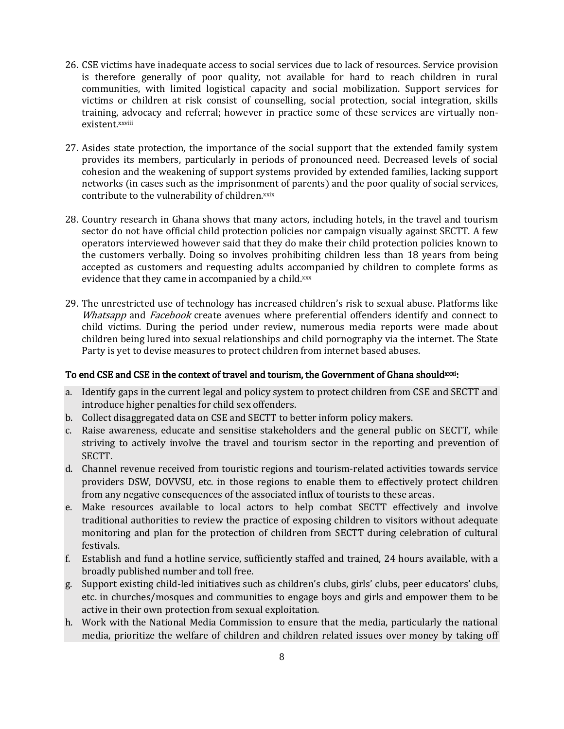- 26. CSE victims have inadequate access to social services due to lack of resources. Service provision is therefore generally of poor quality, not available for hard to reach children in rural communities, with limited logistical capacity and social mobilization. Support services for victims or children at risk consist of counselling, social protection, social integration, skills training, advocacy and referral; however in practice some of these services are virtually nonexistent.xxviii
- 27. Asides state protection, the importance of the social support that the extended family system provides its members, particularly in periods of pronounced need. Decreased levels of social cohesion and the weakening of support systems provided by extended families, lacking support networks (in cases such as the imprisonment of parents) and the poor quality of social services, contribute to the vulnerability of children.xxix
- 28. Country research in Ghana shows that many actors, including hotels, in the travel and tourism sector do not have official child protection policies nor campaign visually against SECTT. A few operators interviewed however said that they do make their child protection policies known to the customers verbally. Doing so involves prohibiting children less than 18 years from being accepted as customers and requesting adults accompanied by children to complete forms as evidence that they came in accompanied by a child.xxx
- 29. The unrestricted use of technology has increased children's risk to sexual abuse. Platforms like Whatsapp and Facebook create avenues where preferential offenders identify and connect to child victims. During the period under review, numerous media reports were made about children being lured into sexual relationships and child pornography via the internet. The State Party is yet to devise measures to protect children from internet based abuses.

## To end CSE and CSE in the context of travel and tourism, the Government of Ghana shouldxxxi:

- a. Identify gaps in the current legal and policy system to protect children from CSE and SECTT and introduce higher penalties for child sex offenders.
- b. Collect disaggregated data on CSE and SECTT to better inform policy makers.
- c. Raise awareness, educate and sensitise stakeholders and the general public on SECTT, while striving to actively involve the travel and tourism sector in the reporting and prevention of SECTT.
- d. Channel revenue received from touristic regions and tourism-related activities towards service providers DSW, DOVVSU, etc. in those regions to enable them to effectively protect children from any negative consequences of the associated influx of tourists to these areas.
- e. Make resources available to local actors to help combat SECTT effectively and involve traditional authorities to review the practice of exposing children to visitors without adequate monitoring and plan for the protection of children from SECTT during celebration of cultural festivals.
- f. Establish and fund a hotline service, sufficiently staffed and trained, 24 hours available, with a broadly published number and toll free.
- g. Support existing child-led initiatives such as children's clubs, girls' clubs, peer educators' clubs, etc. in churches/mosques and communities to engage boys and girls and empower them to be active in their own protection from sexual exploitation.
- h. Work with the National Media Commission to ensure that the media, particularly the national media, prioritize the welfare of children and children related issues over money by taking off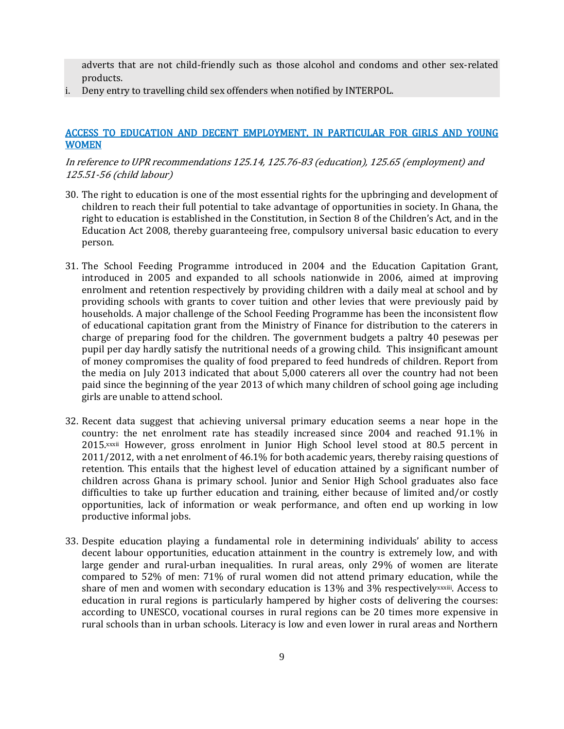adverts that are not child-friendly such as those alcohol and condoms and other sex-related products.

i. Deny entry to travelling child sex offenders when notified by INTERPOL.

#### ACCESS TO EDUCATION AND DECENT EMPLOYMENT, IN PARTICULAR FOR GIRLS AND YOUNG WOMEN

#### In reference to UPR recommendations 125.14, 125.76-83 (education), 125.65 (employment) and 125.51-56 (child labour)

- 30. The right to education is one of the most essential rights for the upbringing and development of children to reach their full potential to take advantage of opportunities in society. In Ghana, the right to education is established in the Constitution, in Section 8 of the Children's Act, and in the Education Act 2008, thereby guaranteeing free, compulsory universal basic education to every person.
- 31. The School Feeding Programme introduced in 2004 and the Education Capitation Grant, introduced in 2005 and expanded to all schools nationwide in 2006, aimed at improving enrolment and retention respectively by providing children with a daily meal at school and by providing schools with grants to cover tuition and other levies that were previously paid by households. A major challenge of the School Feeding Programme has been the inconsistent flow of educational capitation grant from the Ministry of Finance for distribution to the caterers in charge of preparing food for the children. The government budgets a paltry 40 pesewas per pupil per day hardly satisfy the nutritional needs of a growing child. This insignificant amount of money compromises the quality of food prepared to feed hundreds of children. Report from the media on July 2013 indicated that about 5,000 caterers all over the country had not been paid since the beginning of the year 2013 of which many children of school going age including girls are unable to attend school.
- 32. Recent data suggest that achieving universal primary education seems a near hope in the country: the net enrolment rate has steadily increased since 2004 and reached 91.1% in 2015.xxxii However, gross enrolment in Junior High School level stood at 80.5 percent in 2011/2012, with a net enrolment of 46.1% for both academic years, thereby raising questions of retention. This entails that the highest level of education attained by a significant number of children across Ghana is primary school. Junior and Senior High School graduates also face difficulties to take up further education and training, either because of limited and/or costly opportunities, lack of information or weak performance, and often end up working in low productive informal jobs.
- 33. Despite education playing a fundamental role in determining individuals' ability to access decent labour opportunities, education attainment in the country is extremely low, and with large gender and rural-urban inequalities. In rural areas, only 29% of women are literate compared to 52% of men: 71% of rural women did not attend primary education, while the share of men and women with secondary education is 13% and 3% respectively<sup>xxxiii</sup>. Access to education in rural regions is particularly hampered by higher costs of delivering the courses: according to UNESCO, vocational courses in rural regions can be 20 times more expensive in rural schools than in urban schools. Literacy is low and even lower in rural areas and Northern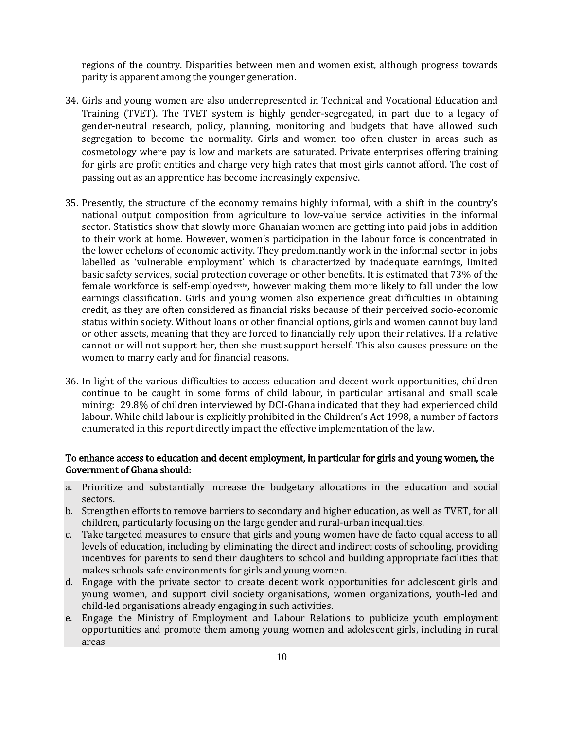regions of the country. Disparities between men and women exist, although progress towards parity is apparent among the younger generation.

- 34. Girls and young women are also underrepresented in Technical and Vocational Education and Training (TVET). The TVET system is highly gender-segregated, in part due to a legacy of gender-neutral research, policy, planning, monitoring and budgets that have allowed such segregation to become the normality. Girls and women too often cluster in areas such as cosmetology where pay is low and markets are saturated. Private enterprises offering training for girls are profit entities and charge very high rates that most girls cannot afford. The cost of passing out as an apprentice has become increasingly expensive.
- 35. Presently, the structure of the economy remains highly informal, with a shift in the country's national output composition from agriculture to low-value service activities in the informal sector. Statistics show that slowly more Ghanaian women are getting into paid jobs in addition to their work at home. However, women's participation in the labour force is concentrated in the lower echelons of economic activity. They predominantly work in the informal sector in jobs labelled as 'vulnerable employment' which is characterized by inadequate earnings, limited basic safety services, social protection coverage or other benefits. It is estimated that 73% of the female workforce is self-employedxxxiv, however making them more likely to fall under the low earnings classification. Girls and young women also experience great difficulties in obtaining credit, as they are often considered as financial risks because of their perceived socio-economic status within society. Without loans or other financial options, girls and women cannot buy land or other assets, meaning that they are forced to financially rely upon their relatives. If a relative cannot or will not support her, then she must support herself. This also causes pressure on the women to marry early and for financial reasons.
- 36. In light of the various difficulties to access education and decent work opportunities, children continue to be caught in some forms of child labour, in particular artisanal and small scale mining: 29.8% of children interviewed by DCI-Ghana indicated that they had experienced child labour. While child labour is explicitly prohibited in the Children's Act 1998, a number of factors enumerated in this report directly impact the effective implementation of the law.

#### To enhance access to education and decent employment, in particular for girls and young women, the Government of Ghana should:

- a. Prioritize and substantially increase the budgetary allocations in the education and social sectors.
- b. Strengthen efforts to remove barriers to secondary and higher education, as well as TVET, for all children, particularly focusing on the large gender and rural-urban inequalities.
- c. Take targeted measures to ensure that girls and young women have de facto equal access to all levels of education, including by eliminating the direct and indirect costs of schooling, providing incentives for parents to send their daughters to school and building appropriate facilities that makes schools safe environments for girls and young women.
- d. Engage with the private sector to create decent work opportunities for adolescent girls and young women, and support civil society organisations, women organizations, youth-led and child-led organisations already engaging in such activities.
- e. Engage the Ministry of Employment and Labour Relations to publicize youth employment opportunities and promote them among young women and adolescent girls, including in rural areas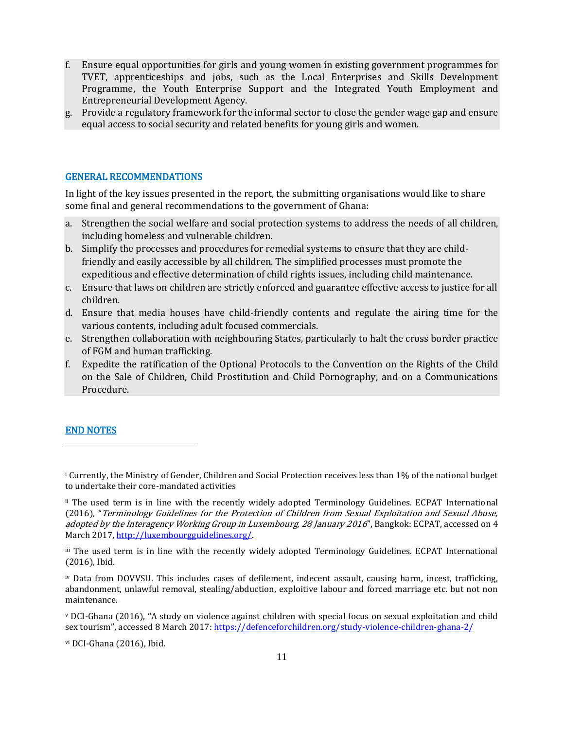- f. Ensure equal opportunities for girls and young women in existing government programmes for TVET, apprenticeships and jobs, such as the Local Enterprises and Skills Development Programme, the Youth Enterprise Support and the Integrated Youth Employment and Entrepreneurial Development Agency.
- g. Provide a regulatory framework for the informal sector to close the gender wage gap and ensure equal access to social security and related benefits for young girls and women.

#### GENERAL RECOMMENDATIONS

In light of the key issues presented in the report, the submitting organisations would like to share some final and general recommendations to the government of Ghana:

- a. Strengthen the social welfare and social protection systems to address the needs of all children, including homeless and vulnerable children.
- b. Simplify the processes and procedures for remedial systems to ensure that they are childfriendly and easily accessible by all children. The simplified processes must promote the expeditious and effective determination of child rights issues, including child maintenance.
- c. Ensure that laws on children are strictly enforced and guarantee effective access to justice for all children.
- d. Ensure that media houses have child-friendly contents and regulate the airing time for the various contents, including adult focused commercials.
- e. Strengthen collaboration with neighbouring States, particularly to halt the cross border practice of FGM and human trafficking.
- f. Expedite the ratification of the Optional Protocols to the Convention on the Rights of the Child on the Sale of Children, Child Prostitution and Child Pornography, and on a Communications Procedure.

#### END NOTES

l

<sup>i</sup> Currently, the Ministry of Gender, Children and Social Protection receives less than 1% of the national budget to undertake their core-mandated activities

ii The used term is in line with the recently widely adopted Terminology Guidelines. ECPAT International (2016), "Terminology Guidelines for the Protection of Children from Sexual Exploitation and Sexual Abuse, adopted by the Interagency Working Group in Luxembourg, 28 January 2016", Bangkok: ECPAT, accessed on 4 March 2017, http://luxembourgguidelines.org/

iii The used term is in line with the recently widely adopted Terminology Guidelines. ECPAT International (2016), Ibid.

iv Data from DOVVSU. This includes cases of defilement, indecent assault, causing harm, incest, trafficking, abandonment, unlawful removal, stealing/abduction, exploitive labour and forced marriage etc. but not non maintenance.

<sup>v</sup> DCI-Ghana (2016), "A study on violence against children with special focus on sexual exploitation and child sex tourism", accessed 8 March 2017: <https://defenceforchildren.org/study-violence-children-ghana-2/>

vi DCI-Ghana (2016), Ibid.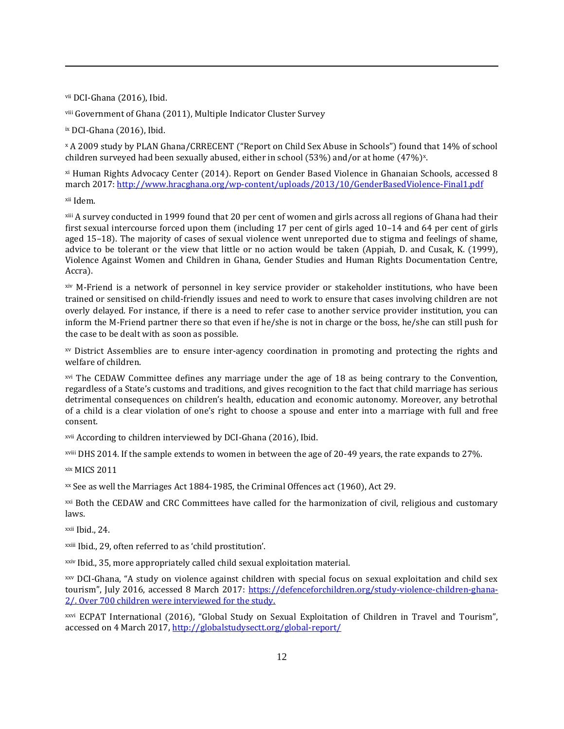vii DCI-Ghana (2016), Ibid.

viii Government of Ghana (2011), Multiple Indicator Cluster Survey

ix DCI-Ghana (2016), Ibid.

<sup>x</sup> A 2009 study by PLAN Ghana/CRRECENT ("Report on Child Sex Abuse in Schools") found that 14% of school children surveyed had been sexually abused, either in school (53%) and/or at home (47%)×.

xi Human Rights Advocacy Center (2014). Report on Gender Based Violence in Ghanaian Schools, accessed 8 march 2017[: http://www.hracghana.org/wp-content/uploads/2013/10/GenderBasedViolence-Final1.pdf](http://www.hracghana.org/wp-content/uploads/2013/10/GenderBasedViolence-Final1.pdf)

xii Idem.

l

xiii A survey conducted in 1999 found that 20 per cent of women and girls across all regions of Ghana had their first sexual intercourse forced upon them (including 17 per cent of girls aged 10–14 and 64 per cent of girls aged 15–18). The majority of cases of sexual violence went unreported due to stigma and feelings of shame, advice to be tolerant or the view that little or no action would be taken (Appiah, D. and Cusak, K. (1999), Violence Against Women and Children in Ghana, Gender Studies and Human Rights Documentation Centre, Accra).

xiv M-Friend is a network of personnel in key service provider or stakeholder institutions, who have been trained or sensitised on child-friendly issues and need to work to ensure that cases involving children are not overly delayed. For instance, if there is a need to refer case to another service provider institution, you can inform the M-Friend partner there so that even if he/she is not in charge or the boss, he/she can still push for the case to be dealt with as soon as possible.

xv District Assemblies are to ensure inter-agency coordination in promoting and protecting the rights and welfare of children.

xvi The CEDAW Committee defines any marriage under the age of 18 as being contrary to the Convention, regardless of a State's customs and traditions, and gives recognition to the fact that child marriage has serious detrimental consequences on children's health, education and economic autonomy. Moreover, any betrothal of a child is a clear violation of one's right to choose a spouse and enter into a marriage with full and free consent.

xvii According to children interviewed by DCI-Ghana (2016), Ibid.

xviii DHS 2014. If the sample extends to women in between the age of 20-49 years, the rate expands to 27%.

xix MICS 2011

xx See as well the Marriages Act 1884-1985, the Criminal Offences act (1960), Act 29.

xxi Both the CEDAW and CRC Committees have called for the harmonization of civil, religious and customary laws.

xxii Ibid., 24.

xxiii Ibid., 29, often referred to as 'child prostitution'.

xxiv Ibid., 35, more appropriately called child sexual exploitation material.

xxv DCI-Ghana, "A study on violence against children with special focus on sexual exploitation and child sex tourism", July 2016, accessed 8 March 2017: [https://defenceforchildren.org/study-violence-children-ghana-](https://defenceforchildren.org/study-violence-children-ghana-2/)[2/.](https://defenceforchildren.org/study-violence-children-ghana-2/) Over 700 children were interviewed for the study.

xxvi ECPAT International (2016), "Global Study on Sexual Exploitation of Children in Travel and Tourism", accessed on 4 March 2017,<http://globalstudysectt.org/global-report/>